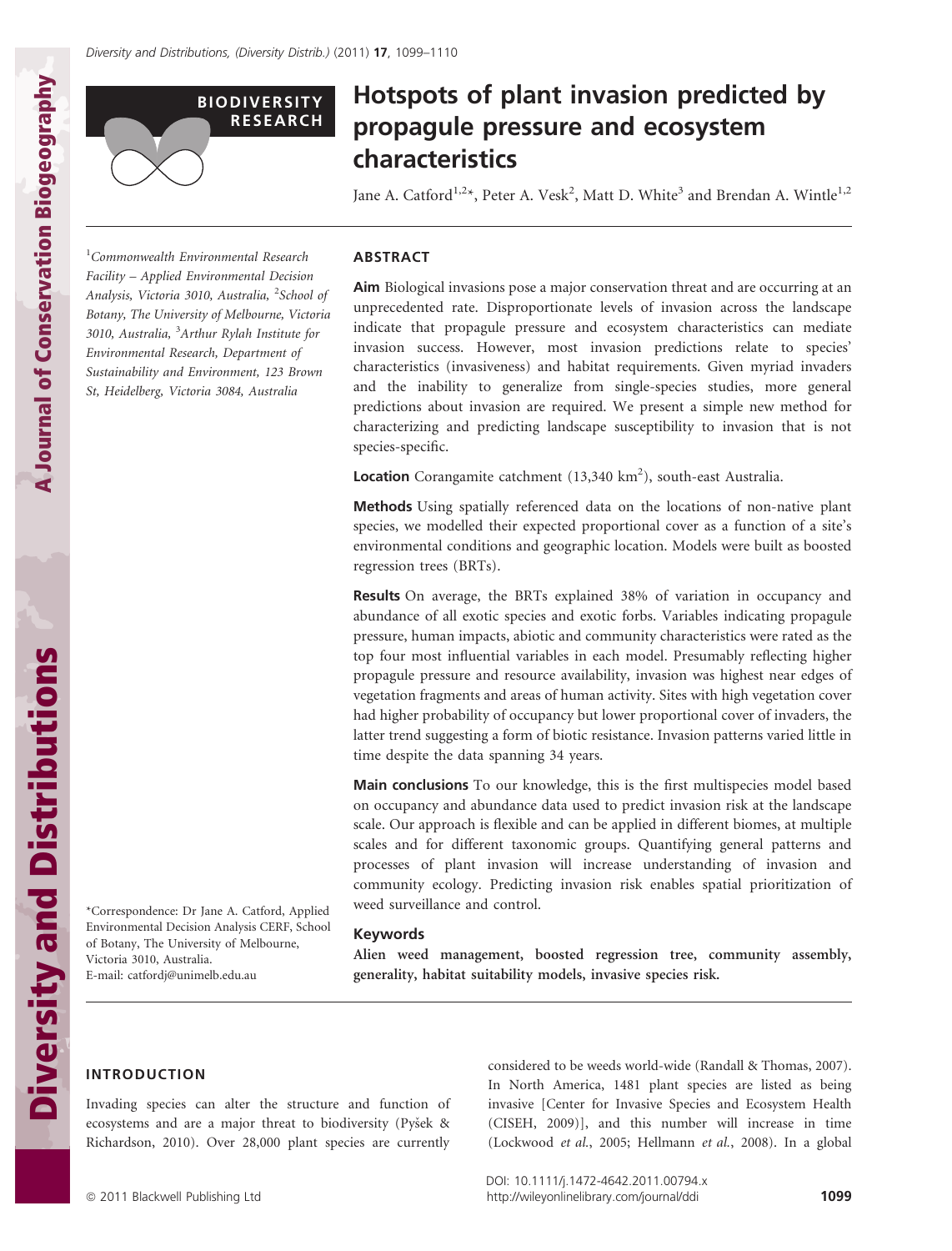

# Hotspots of plant invasion predicted by propagule pressure and ecosystem characteristics

Jane A. Catford<sup>1,2</sup>\*, Peter A. Vesk<sup>2</sup>, Matt D. White<sup>3</sup> and Brendan A. Wintle<sup>1,2</sup>

 $1$ Commonwealth Environmental Research Facility – Applied Environmental Decision Analysis, Victoria 3010, Australia, <sup>2</sup>School of Botany, The University of Melbourne, Victoria 3010, Australia, <sup>3</sup>Arthur Rylah Institute for Environmental Research, Department of Sustainability and Environment, 123 Brown St, Heidelberg, Victoria 3084, Australia

# ABSTRACT

Aim Biological invasions pose a major conservation threat and are occurring at an unprecedented rate. Disproportionate levels of invasion across the landscape indicate that propagule pressure and ecosystem characteristics can mediate invasion success. However, most invasion predictions relate to species' characteristics (invasiveness) and habitat requirements. Given myriad invaders and the inability to generalize from single-species studies, more general predictions about invasion are required. We present a simple new method for characterizing and predicting landscape susceptibility to invasion that is not species-specific.

Location Corangamite catchment (13,340 km<sup>2</sup>), south-east Australia.

Methods Using spatially referenced data on the locations of non-native plant species, we modelled their expected proportional cover as a function of a site's environmental conditions and geographic location. Models were built as boosted regression trees (BRTs).

Results On average, the BRTs explained 38% of variation in occupancy and abundance of all exotic species and exotic forbs. Variables indicating propagule pressure, human impacts, abiotic and community characteristics were rated as the top four most influential variables in each model. Presumably reflecting higher propagule pressure and resource availability, invasion was highest near edges of vegetation fragments and areas of human activity. Sites with high vegetation cover had higher probability of occupancy but lower proportional cover of invaders, the latter trend suggesting a form of biotic resistance. Invasion patterns varied little in time despite the data spanning 34 years.

Main conclusions To our knowledge, this is the first multispecies model based on occupancy and abundance data used to predict invasion risk at the landscape scale. Our approach is flexible and can be applied in different biomes, at multiple scales and for different taxonomic groups. Quantifying general patterns and processes of plant invasion will increase understanding of invasion and community ecology. Predicting invasion risk enables spatial prioritization of weed surveillance and control.

#### Keywords

Alien weed management, boosted regression tree, community assembly, generality, habitat suitability models, invasive species risk.

**A Journal of Conservation Biogeography** A Journal of Conservation Biogeography **Diversity and Distributions** Diversity and Distributions

Victoria 3010, Australia. E-mail: catfordj@unimelb.edu.au

Invading species can alter the structure and function of ecosystems and are a major threat to biodiversity (Pyšek & Richardson, 2010). Over 28,000 plant species are currently considered to be weeds world-wide (Randall & Thomas, 2007). In North America, 1481 plant species are listed as being invasive [Center for Invasive Species and Ecosystem Health (CISEH, 2009)], and this number will increase in time (Lockwood et al., 2005; Hellmann et al., 2008). In a global

\*Correspondence: Dr Jane A. Catford, Applied Environmental Decision Analysis CERF, School of Botany, The University of Melbourne,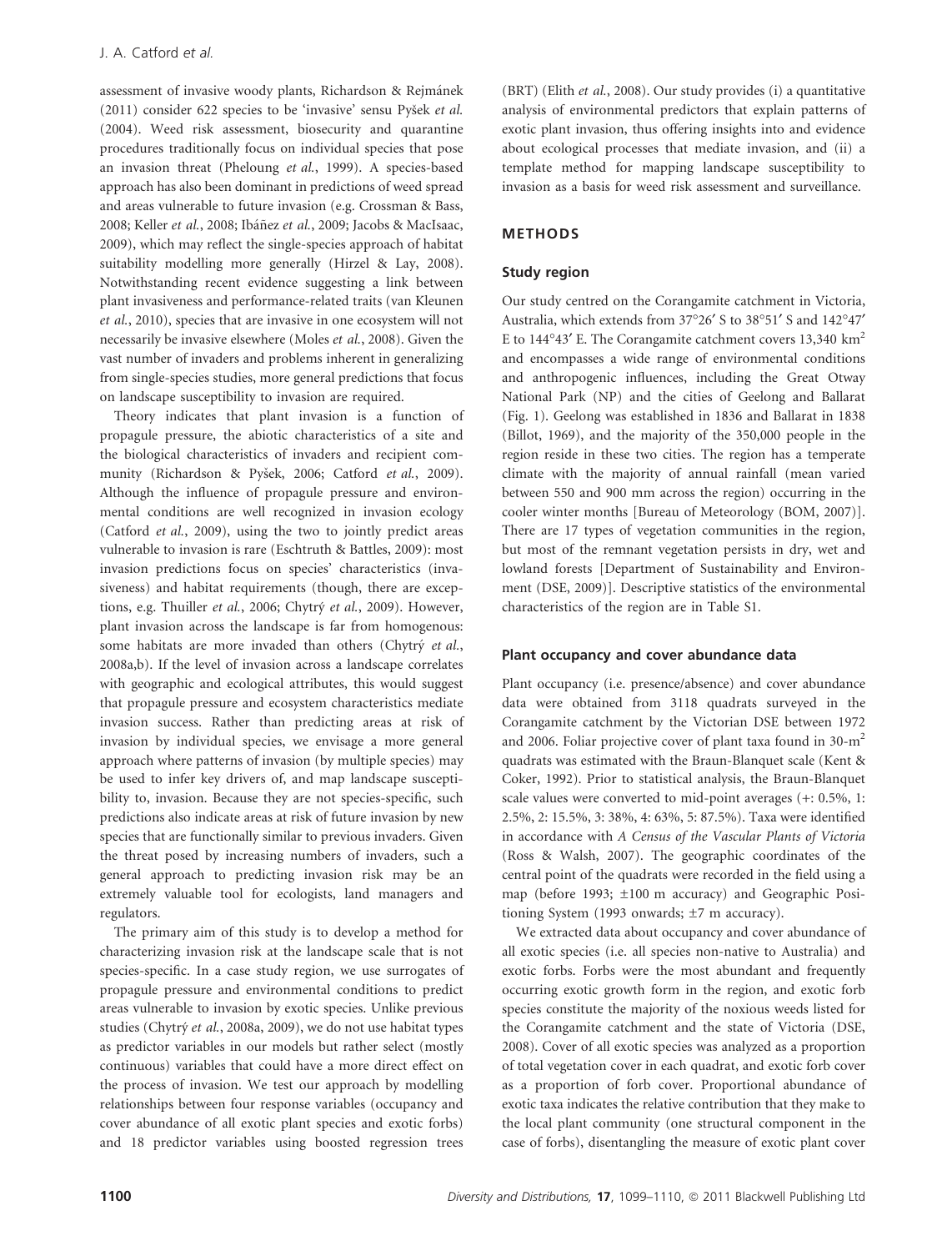assessment of invasive woody plants, Richardson & Rejmánek (2011) consider 622 species to be 'invasive' sensu Pyšek et al. (2004). Weed risk assessment, biosecurity and quarantine procedures traditionally focus on individual species that pose an invasion threat (Pheloung et al., 1999). A species-based approach has also been dominant in predictions of weed spread and areas vulnerable to future invasion (e.g. Crossman & Bass, 2008; Keller et al., 2008; Ibáñez et al., 2009; Jacobs & MacIsaac, 2009), which may reflect the single-species approach of habitat suitability modelling more generally (Hirzel & Lay, 2008). Notwithstanding recent evidence suggesting a link between plant invasiveness and performance-related traits (van Kleunen et al., 2010), species that are invasive in one ecosystem will not necessarily be invasive elsewhere (Moles et al., 2008). Given the vast number of invaders and problems inherent in generalizing from single-species studies, more general predictions that focus on landscape susceptibility to invasion are required.

Theory indicates that plant invasion is a function of propagule pressure, the abiotic characteristics of a site and the biological characteristics of invaders and recipient community (Richardson & Pyšek, 2006; Catford et al., 2009). Although the influence of propagule pressure and environmental conditions are well recognized in invasion ecology (Catford et al., 2009), using the two to jointly predict areas vulnerable to invasion is rare (Eschtruth & Battles, 2009): most invasion predictions focus on species' characteristics (invasiveness) and habitat requirements (though, there are exceptions, e.g. Thuiller et al., 2006; Chytrý et al., 2009). However, plant invasion across the landscape is far from homogenous: some habitats are more invaded than others (Chytrý et al., 2008a,b). If the level of invasion across a landscape correlates with geographic and ecological attributes, this would suggest that propagule pressure and ecosystem characteristics mediate invasion success. Rather than predicting areas at risk of invasion by individual species, we envisage a more general approach where patterns of invasion (by multiple species) may be used to infer key drivers of, and map landscape susceptibility to, invasion. Because they are not species-specific, such predictions also indicate areas at risk of future invasion by new species that are functionally similar to previous invaders. Given the threat posed by increasing numbers of invaders, such a general approach to predicting invasion risk may be an extremely valuable tool for ecologists, land managers and regulators.

The primary aim of this study is to develop a method for characterizing invasion risk at the landscape scale that is not species-specific. In a case study region, we use surrogates of propagule pressure and environmental conditions to predict areas vulnerable to invasion by exotic species. Unlike previous studies (Chytrý et al., 2008a, 2009), we do not use habitat types as predictor variables in our models but rather select (mostly continuous) variables that could have a more direct effect on the process of invasion. We test our approach by modelling relationships between four response variables (occupancy and cover abundance of all exotic plant species and exotic forbs) and 18 predictor variables using boosted regression trees (BRT) (Elith et al., 2008). Our study provides (i) a quantitative analysis of environmental predictors that explain patterns of exotic plant invasion, thus offering insights into and evidence about ecological processes that mediate invasion, and (ii) a template method for mapping landscape susceptibility to invasion as a basis for weed risk assessment and surveillance.

# METHODS

# Study region

Our study centred on the Corangamite catchment in Victoria, Australia, which extends from  $37^{\circ}26'$  S to  $38^{\circ}51'$  S and  $142^{\circ}47'$ E to 144°43' E. The Corangamite catchment covers 13,340 km<sup>2</sup> and encompasses a wide range of environmental conditions and anthropogenic influences, including the Great Otway National Park (NP) and the cities of Geelong and Ballarat (Fig. 1). Geelong was established in 1836 and Ballarat in 1838 (Billot, 1969), and the majority of the 350,000 people in the region reside in these two cities. The region has a temperate climate with the majority of annual rainfall (mean varied between 550 and 900 mm across the region) occurring in the cooler winter months [Bureau of Meteorology (BOM, 2007)]. There are 17 types of vegetation communities in the region, but most of the remnant vegetation persists in dry, wet and lowland forests [Department of Sustainability and Environment (DSE, 2009)]. Descriptive statistics of the environmental characteristics of the region are in Table S1.

#### Plant occupancy and cover abundance data

Plant occupancy (i.e. presence/absence) and cover abundance data were obtained from 3118 quadrats surveyed in the Corangamite catchment by the Victorian DSE between 1972 and 2006. Foliar projective cover of plant taxa found in 30-m<sup>2</sup> quadrats was estimated with the Braun-Blanquet scale (Kent & Coker, 1992). Prior to statistical analysis, the Braun-Blanquet scale values were converted to mid-point averages (+: 0.5%, 1: 2.5%, 2: 15.5%, 3: 38%, 4: 63%, 5: 87.5%). Taxa were identified in accordance with A Census of the Vascular Plants of Victoria (Ross & Walsh, 2007). The geographic coordinates of the central point of the quadrats were recorded in the field using a map (before 1993; ±100 m accuracy) and Geographic Positioning System (1993 onwards; ±7 m accuracy).

We extracted data about occupancy and cover abundance of all exotic species (i.e. all species non-native to Australia) and exotic forbs. Forbs were the most abundant and frequently occurring exotic growth form in the region, and exotic forb species constitute the majority of the noxious weeds listed for the Corangamite catchment and the state of Victoria (DSE, 2008). Cover of all exotic species was analyzed as a proportion of total vegetation cover in each quadrat, and exotic forb cover as a proportion of forb cover. Proportional abundance of exotic taxa indicates the relative contribution that they make to the local plant community (one structural component in the case of forbs), disentangling the measure of exotic plant cover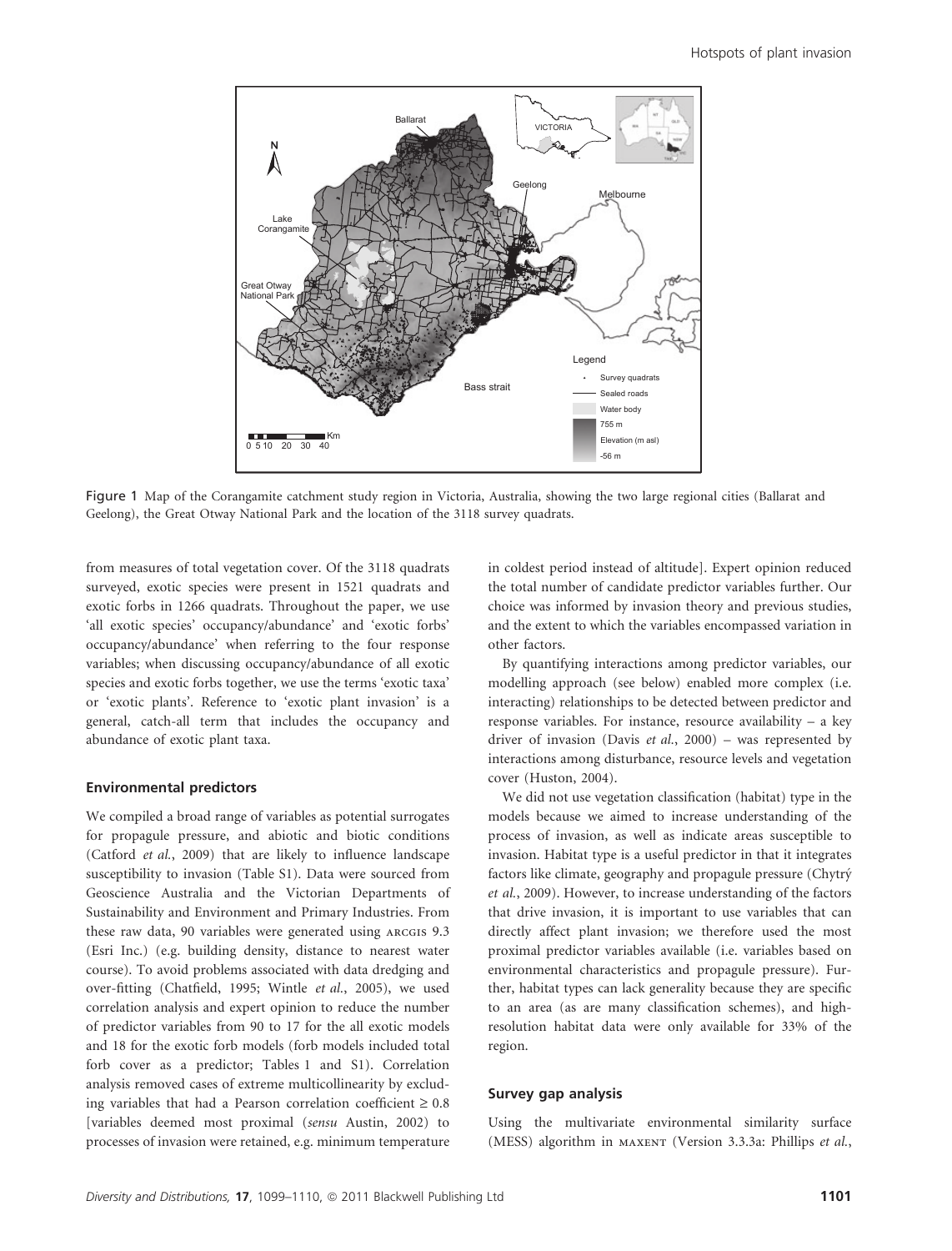

Figure 1 Map of the Corangamite catchment study region in Victoria, Australia, showing the two large regional cities (Ballarat and Geelong), the Great Otway National Park and the location of the 3118 survey quadrats.

from measures of total vegetation cover. Of the 3118 quadrats surveyed, exotic species were present in 1521 quadrats and exotic forbs in 1266 quadrats. Throughout the paper, we use 'all exotic species' occupancy/abundance' and 'exotic forbs' occupancy/abundance' when referring to the four response variables; when discussing occupancy/abundance of all exotic species and exotic forbs together, we use the terms 'exotic taxa' or 'exotic plants'. Reference to 'exotic plant invasion' is a general, catch-all term that includes the occupancy and abundance of exotic plant taxa.

#### Environmental predictors

We compiled a broad range of variables as potential surrogates for propagule pressure, and abiotic and biotic conditions (Catford et al., 2009) that are likely to influence landscape susceptibility to invasion (Table S1). Data were sourced from Geoscience Australia and the Victorian Departments of Sustainability and Environment and Primary Industries. From these raw data, 90 variables were generated using arcgis 9.3 (Esri Inc.) (e.g. building density, distance to nearest water course). To avoid problems associated with data dredging and over-fitting (Chatfield, 1995; Wintle et al., 2005), we used correlation analysis and expert opinion to reduce the number of predictor variables from 90 to 17 for the all exotic models and 18 for the exotic forb models (forb models included total forb cover as a predictor; Tables 1 and S1). Correlation analysis removed cases of extreme multicollinearity by excluding variables that had a Pearson correlation coefficient  $\geq 0.8$ [variables deemed most proximal (sensu Austin, 2002) to processes of invasion were retained, e.g. minimum temperature in coldest period instead of altitude]. Expert opinion reduced the total number of candidate predictor variables further. Our choice was informed by invasion theory and previous studies, and the extent to which the variables encompassed variation in other factors.

By quantifying interactions among predictor variables, our modelling approach (see below) enabled more complex (i.e. interacting) relationships to be detected between predictor and response variables. For instance, resource availability – a key driver of invasion (Davis et al., 2000) – was represented by interactions among disturbance, resource levels and vegetation cover (Huston, 2004).

We did not use vegetation classification (habitat) type in the models because we aimed to increase understanding of the process of invasion, as well as indicate areas susceptible to invasion. Habitat type is a useful predictor in that it integrates factors like climate, geography and propagule pressure (Chytrý et al., 2009). However, to increase understanding of the factors that drive invasion, it is important to use variables that can directly affect plant invasion; we therefore used the most proximal predictor variables available (i.e. variables based on environmental characteristics and propagule pressure). Further, habitat types can lack generality because they are specific to an area (as are many classification schemes), and highresolution habitat data were only available for 33% of the region.

# Survey gap analysis

Using the multivariate environmental similarity surface (MESS) algorithm in MAXENT (Version 3.3.3a: Phillips et al.,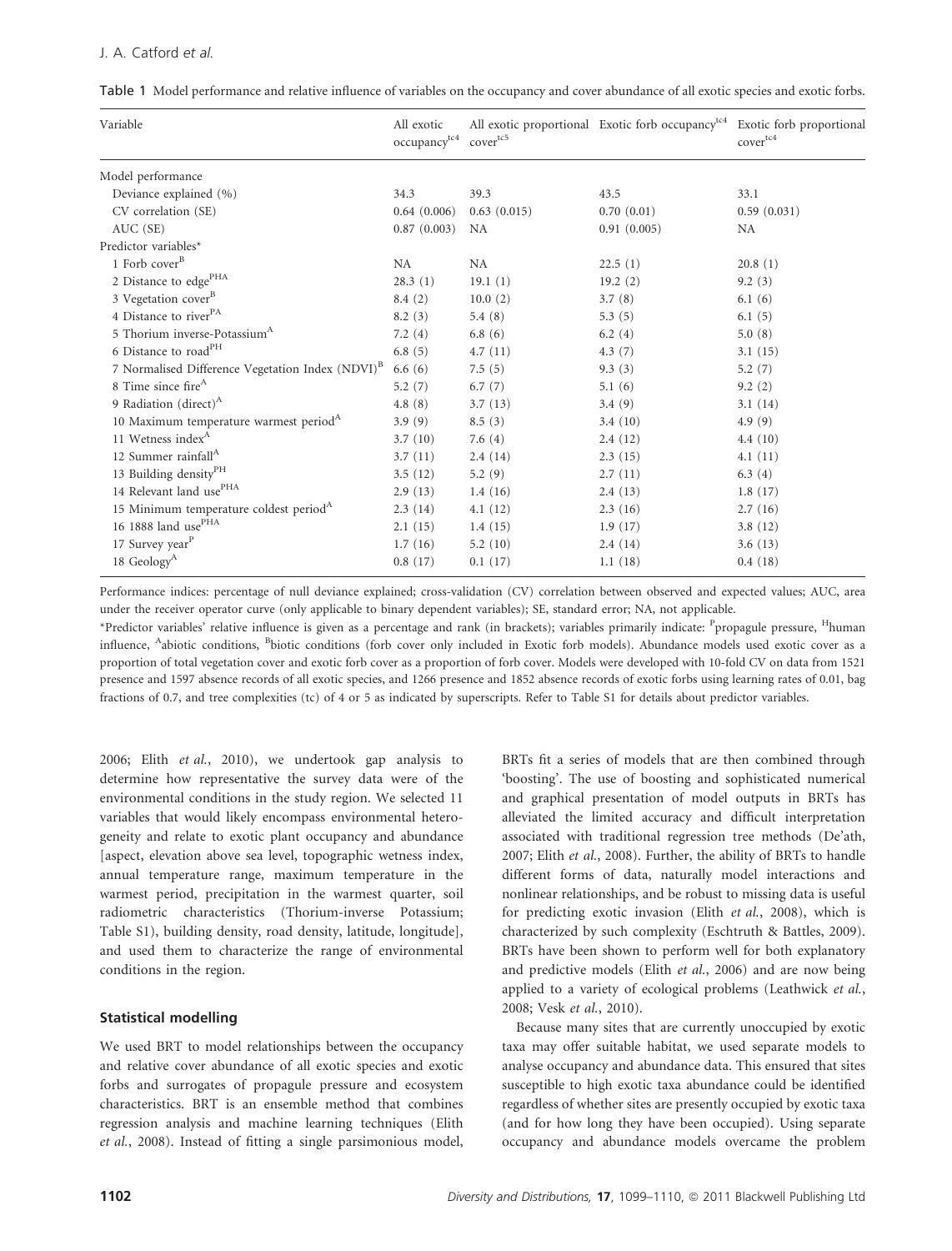# J. A. Catford et al.

| Table 1 Model performance and relative influence of variables on the occupancy and cover abundance of all exotic species and exotic forbs. | $\frac{1}{1}$ . The set of $\frac{1}{1}$ is the set of $\frac{1}{1}$ is the set of $\frac{1}{1}$ is the set of $\frac{1}{1}$ |  |
|--------------------------------------------------------------------------------------------------------------------------------------------|------------------------------------------------------------------------------------------------------------------------------|--|
|--------------------------------------------------------------------------------------------------------------------------------------------|------------------------------------------------------------------------------------------------------------------------------|--|

| Variable                                                     | All exotic<br>occupancy <sup>tc4</sup> | cover <sup>tc5</sup> | All exotic proportional Exotic forb occupancy <sup>tc4</sup> | Exotic forb proportional<br>cover <sup>tc4</sup> |
|--------------------------------------------------------------|----------------------------------------|----------------------|--------------------------------------------------------------|--------------------------------------------------|
| Model performance                                            |                                        |                      |                                                              |                                                  |
| Deviance explained (%)                                       | 34.3                                   | 39.3                 | 43.5                                                         | 33.1                                             |
| CV correlation (SE)                                          | 0.64(0.006)                            | 0.63(0.015)          | 0.70(0.01)                                                   | 0.59(0.031)                                      |
| AUC (SE)                                                     | 0.87(0.003)                            | <b>NA</b>            | 0.91(0.005)                                                  | NA                                               |
| Predictor variables*                                         |                                        |                      |                                                              |                                                  |
| 1 Forb cover <sup>B</sup>                                    | NA                                     | <b>NA</b>            | 22.5(1)                                                      | 20.8(1)                                          |
| 2 Distance to edge <sup>PHA</sup>                            | 28.3(1)                                | 19.1(1)              | 19.2(2)                                                      | 9.2(3)                                           |
| 3 Vegetation cover <sup>B</sup>                              | 8.4(2)                                 | 10.0(2)              | 3.7(8)                                                       | 6.1(6)                                           |
| 4 Distance to river <sup>PA</sup>                            | 8.2(3)                                 | 5.4(8)               | 5.3(5)                                                       | 6.1(5)                                           |
| 5 Thorium inverse-Potassium <sup>A</sup>                     | 7.2(4)                                 | 6.8(6)               | 6.2(4)                                                       | 5.0(8)                                           |
| 6 Distance to road <sup>PH</sup>                             | 6.8(5)                                 | 4.7(11)              | 4.3(7)                                                       | 3.1(15)                                          |
| 7 Normalised Difference Vegetation Index (NDVI) <sup>B</sup> | 6.6(6)                                 | 7.5(5)               | 9.3(3)                                                       | 5.2 $(7)$                                        |
| 8 Time since fire <sup>A</sup>                               | 5.2(7)                                 | 6.7(7)               | 5.1(6)                                                       | 9.2(2)                                           |
| 9 Radiation (direct) <sup>A</sup>                            | 4.8(8)                                 | 3.7(13)              | 3.4(9)                                                       | 3.1(14)                                          |
| 10 Maximum temperature warmest period <sup>A</sup>           | 3.9(9)                                 | 8.5(3)               | 3.4(10)                                                      | 4.9(9)                                           |
| 11 Wetness index <sup>A</sup>                                | 3.7(10)                                | 7.6 $(4)$            | 2.4(12)                                                      | 4.4(10)                                          |
| 12 Summer rainfall <sup>A</sup>                              | 3.7(11)                                | 2.4(14)              | 2.3(15)                                                      | 4.1(11)                                          |
| 13 Building density <sup>PH</sup>                            | 3.5(12)                                | 5.2 $(9)$            | 2.7(11)                                                      | 6.3(4)                                           |
| 14 Relevant land use <sup>PHA</sup>                          | 2.9(13)                                | 1.4(16)              | 2.4(13)                                                      | 1.8(17)                                          |
| 15 Minimum temperature coldest period <sup>A</sup>           | 2.3(14)                                | 4.1(12)              | 2.3(16)                                                      | 2.7(16)                                          |
| 16 1888 land use <sup>PHA</sup>                              | 2.1(15)                                | 1.4(15)              | 1.9(17)                                                      | 3.8(12)                                          |
| 17 Survey year <sup>P</sup>                                  | 1.7(16)                                | 5.2(10)              | 2.4(14)                                                      | 3.6(13)                                          |
| 18 Geology <sup>A</sup>                                      | 0.8(17)                                | 0.1(17)              | 1.1(18)                                                      | 0.4(18)                                          |

Performance indices: percentage of null deviance explained; cross-validation (CV) correlation between observed and expected values; AUC, area under the receiver operator curve (only applicable to binary dependent variables); SE, standard error; NA, not applicable.

\*Predictor variables' relative influence is given as a percentage and rank (in brackets); variables primarily indicate: <sup>P</sup> propagule pressure, Hhuman influence, <sup>A</sup>abiotic conditions, <sup>B</sup>biotic conditions (forb cover only included in Exotic forb models). Abundance models used exotic cover as a proportion of total vegetation cover and exotic forb cover as a proportion of forb cover. Models were developed with 10-fold CV on data from 1521 presence and 1597 absence records of all exotic species, and 1266 presence and 1852 absence records of exotic forbs using learning rates of 0.01, bag fractions of 0.7, and tree complexities (tc) of 4 or 5 as indicated by superscripts. Refer to Table S1 for details about predictor variables.

2006; Elith et al., 2010), we undertook gap analysis to determine how representative the survey data were of the environmental conditions in the study region. We selected 11 variables that would likely encompass environmental heterogeneity and relate to exotic plant occupancy and abundance [aspect, elevation above sea level, topographic wetness index, annual temperature range, maximum temperature in the warmest period, precipitation in the warmest quarter, soil radiometric characteristics (Thorium-inverse Potassium; Table S1), building density, road density, latitude, longitude], and used them to characterize the range of environmental conditions in the region.

# Statistical modelling

We used BRT to model relationships between the occupancy and relative cover abundance of all exotic species and exotic forbs and surrogates of propagule pressure and ecosystem characteristics. BRT is an ensemble method that combines regression analysis and machine learning techniques (Elith et al., 2008). Instead of fitting a single parsimonious model, BRTs fit a series of models that are then combined through 'boosting'. The use of boosting and sophisticated numerical and graphical presentation of model outputs in BRTs has alleviated the limited accuracy and difficult interpretation associated with traditional regression tree methods (De'ath, 2007; Elith et al., 2008). Further, the ability of BRTs to handle different forms of data, naturally model interactions and nonlinear relationships, and be robust to missing data is useful for predicting exotic invasion (Elith et al., 2008), which is characterized by such complexity (Eschtruth & Battles, 2009). BRTs have been shown to perform well for both explanatory and predictive models (Elith et al., 2006) and are now being applied to a variety of ecological problems (Leathwick et al., 2008; Vesk et al., 2010).

Because many sites that are currently unoccupied by exotic taxa may offer suitable habitat, we used separate models to analyse occupancy and abundance data. This ensured that sites susceptible to high exotic taxa abundance could be identified regardless of whether sites are presently occupied by exotic taxa (and for how long they have been occupied). Using separate occupancy and abundance models overcame the problem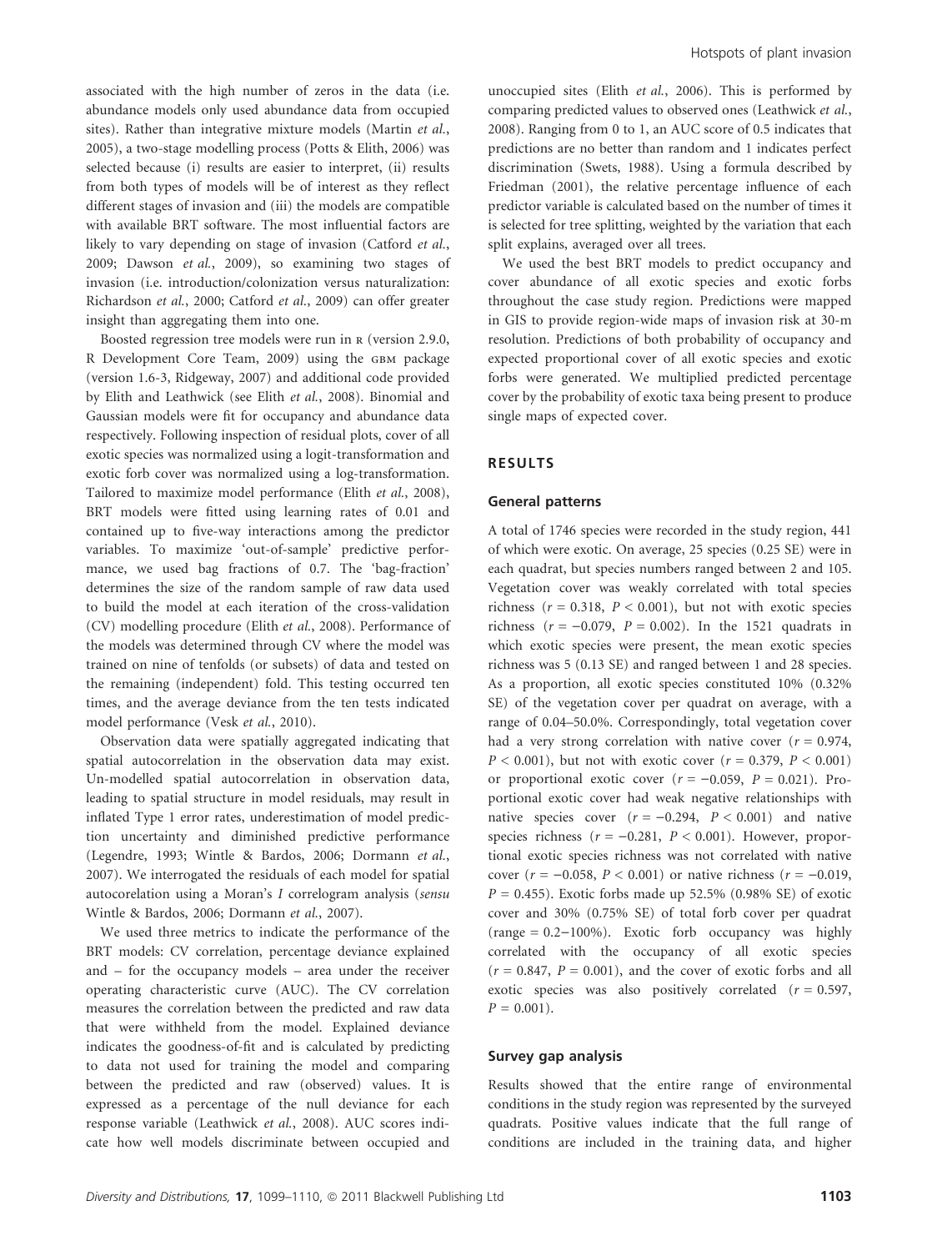associated with the high number of zeros in the data (i.e. abundance models only used abundance data from occupied sites). Rather than integrative mixture models (Martin et al., 2005), a two-stage modelling process (Potts & Elith, 2006) was selected because (i) results are easier to interpret, (ii) results from both types of models will be of interest as they reflect different stages of invasion and (iii) the models are compatible with available BRT software. The most influential factors are likely to vary depending on stage of invasion (Catford *et al.*, 2009; Dawson et al., 2009), so examining two stages of invasion (i.e. introduction/colonization versus naturalization: Richardson et al., 2000; Catford et al., 2009) can offer greater insight than aggregating them into one.

Boosted regression tree models were run in R (version 2.9.0, R Development Core Team, 2009) using the GBM package (version 1.6-3, Ridgeway, 2007) and additional code provided by Elith and Leathwick (see Elith et al., 2008). Binomial and Gaussian models were fit for occupancy and abundance data respectively. Following inspection of residual plots, cover of all exotic species was normalized using a logit-transformation and exotic forb cover was normalized using a log-transformation. Tailored to maximize model performance (Elith et al., 2008), BRT models were fitted using learning rates of 0.01 and contained up to five-way interactions among the predictor variables. To maximize 'out-of-sample' predictive performance, we used bag fractions of 0.7. The 'bag-fraction' determines the size of the random sample of raw data used to build the model at each iteration of the cross-validation (CV) modelling procedure (Elith et al., 2008). Performance of the models was determined through CV where the model was trained on nine of tenfolds (or subsets) of data and tested on the remaining (independent) fold. This testing occurred ten times, and the average deviance from the ten tests indicated model performance (Vesk et al., 2010).

Observation data were spatially aggregated indicating that spatial autocorrelation in the observation data may exist. Un-modelled spatial autocorrelation in observation data, leading to spatial structure in model residuals, may result in inflated Type 1 error rates, underestimation of model prediction uncertainty and diminished predictive performance (Legendre, 1993; Wintle & Bardos, 2006; Dormann et al., 2007). We interrogated the residuals of each model for spatial autocorelation using a Moran's I correlogram analysis (sensu Wintle & Bardos, 2006; Dormann et al., 2007).

We used three metrics to indicate the performance of the BRT models: CV correlation, percentage deviance explained and – for the occupancy models – area under the receiver operating characteristic curve (AUC). The CV correlation measures the correlation between the predicted and raw data that were withheld from the model. Explained deviance indicates the goodness-of-fit and is calculated by predicting to data not used for training the model and comparing between the predicted and raw (observed) values. It is expressed as a percentage of the null deviance for each response variable (Leathwick et al., 2008). AUC scores indicate how well models discriminate between occupied and unoccupied sites (Elith et al., 2006). This is performed by comparing predicted values to observed ones (Leathwick et al., 2008). Ranging from 0 to 1, an AUC score of 0.5 indicates that predictions are no better than random and 1 indicates perfect discrimination (Swets, 1988). Using a formula described by Friedman (2001), the relative percentage influence of each predictor variable is calculated based on the number of times it is selected for tree splitting, weighted by the variation that each split explains, averaged over all trees.

We used the best BRT models to predict occupancy and cover abundance of all exotic species and exotic forbs throughout the case study region. Predictions were mapped in GIS to provide region-wide maps of invasion risk at 30-m resolution. Predictions of both probability of occupancy and expected proportional cover of all exotic species and exotic forbs were generated. We multiplied predicted percentage cover by the probability of exotic taxa being present to produce single maps of expected cover.

# RESULTS

#### General patterns

A total of 1746 species were recorded in the study region, 441 of which were exotic. On average, 25 species (0.25 SE) were in each quadrat, but species numbers ranged between 2 and 105. Vegetation cover was weakly correlated with total species richness ( $r = 0.318$ ,  $P < 0.001$ ), but not with exotic species richness ( $r = -0.079$ ,  $P = 0.002$ ). In the 1521 quadrats in which exotic species were present, the mean exotic species richness was 5 (0.13 SE) and ranged between 1 and 28 species. As a proportion, all exotic species constituted 10% (0.32% SE) of the vegetation cover per quadrat on average, with a range of 0.04–50.0%. Correspondingly, total vegetation cover had a very strong correlation with native cover ( $r = 0.974$ ,  $P < 0.001$ ), but not with exotic cover ( $r = 0.379$ ,  $P < 0.001$ ) or proportional exotic cover  $(r = -0.059, P = 0.021)$ . Proportional exotic cover had weak negative relationships with native species cover  $(r = -0.294, P < 0.001)$  and native species richness ( $r = -0.281$ ,  $P < 0.001$ ). However, proportional exotic species richness was not correlated with native cover ( $r = -0.058$ ,  $P < 0.001$ ) or native richness ( $r = -0.019$ ,  $P = 0.455$ ). Exotic forbs made up 52.5% (0.98% SE) of exotic cover and 30% (0.75% SE) of total forb cover per quadrat  $(range = 0.2 - 100\%)$ . Exotic forb occupancy was highly correlated with the occupancy of all exotic species  $(r = 0.847, P = 0.001)$ , and the cover of exotic forbs and all exotic species was also positively correlated  $(r = 0.597,$  $P = 0.001$ .

#### Survey gap analysis

Results showed that the entire range of environmental conditions in the study region was represented by the surveyed quadrats. Positive values indicate that the full range of conditions are included in the training data, and higher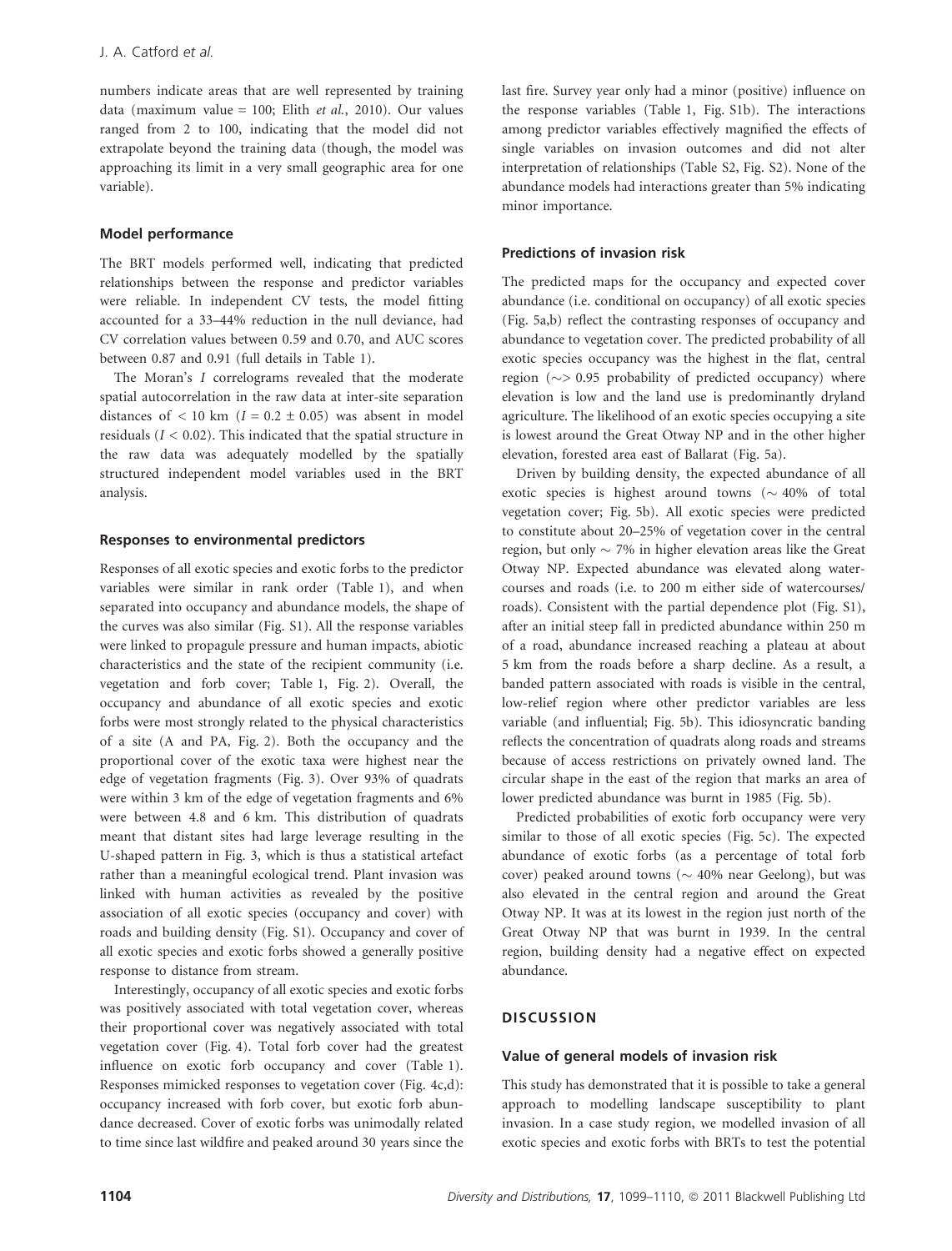numbers indicate areas that are well represented by training data (maximum value = 100; Elith et al., 2010). Our values ranged from 2 to 100, indicating that the model did not extrapolate beyond the training data (though, the model was approaching its limit in a very small geographic area for one variable).

## Model performance

The BRT models performed well, indicating that predicted relationships between the response and predictor variables were reliable. In independent CV tests, the model fitting accounted for a 33–44% reduction in the null deviance, had CV correlation values between 0.59 and 0.70, and AUC scores between 0.87 and 0.91 (full details in Table 1).

The Moran's I correlograms revealed that the moderate spatial autocorrelation in the raw data at inter-site separation distances of  $\langle 10 \text{ km } (I = 0.2 \pm 0.05)$  was absent in model residuals  $(I < 0.02)$ . This indicated that the spatial structure in the raw data was adequately modelled by the spatially structured independent model variables used in the BRT analysis.

## Responses to environmental predictors

Responses of all exotic species and exotic forbs to the predictor variables were similar in rank order (Table 1), and when separated into occupancy and abundance models, the shape of the curves was also similar (Fig. S1). All the response variables were linked to propagule pressure and human impacts, abiotic characteristics and the state of the recipient community (i.e. vegetation and forb cover; Table 1, Fig. 2). Overall, the occupancy and abundance of all exotic species and exotic forbs were most strongly related to the physical characteristics of a site (A and PA, Fig. 2). Both the occupancy and the proportional cover of the exotic taxa were highest near the edge of vegetation fragments (Fig. 3). Over 93% of quadrats were within 3 km of the edge of vegetation fragments and 6% were between 4.8 and 6 km. This distribution of quadrats meant that distant sites had large leverage resulting in the U-shaped pattern in Fig. 3, which is thus a statistical artefact rather than a meaningful ecological trend. Plant invasion was linked with human activities as revealed by the positive association of all exotic species (occupancy and cover) with roads and building density (Fig. S1). Occupancy and cover of all exotic species and exotic forbs showed a generally positive response to distance from stream.

Interestingly, occupancy of all exotic species and exotic forbs was positively associated with total vegetation cover, whereas their proportional cover was negatively associated with total vegetation cover (Fig. 4). Total forb cover had the greatest influence on exotic forb occupancy and cover (Table 1). Responses mimicked responses to vegetation cover (Fig. 4c,d): occupancy increased with forb cover, but exotic forb abundance decreased. Cover of exotic forbs was unimodally related to time since last wildfire and peaked around 30 years since the last fire. Survey year only had a minor (positive) influence on the response variables (Table 1, Fig. S1b). The interactions among predictor variables effectively magnified the effects of single variables on invasion outcomes and did not alter interpretation of relationships (Table S2, Fig. S2). None of the abundance models had interactions greater than 5% indicating minor importance.

# Predictions of invasion risk

The predicted maps for the occupancy and expected cover abundance (i.e. conditional on occupancy) of all exotic species (Fig. 5a,b) reflect the contrasting responses of occupancy and abundance to vegetation cover. The predicted probability of all exotic species occupancy was the highest in the flat, central region ( $\sim$  > 0.95 probability of predicted occupancy) where elevation is low and the land use is predominantly dryland agriculture. The likelihood of an exotic species occupying a site is lowest around the Great Otway NP and in the other higher elevation, forested area east of Ballarat (Fig. 5a).

Driven by building density, the expected abundance of all exotic species is highest around towns ( $\sim$  40% of total vegetation cover; Fig. 5b). All exotic species were predicted to constitute about 20–25% of vegetation cover in the central region, but only  $\sim$  7% in higher elevation areas like the Great Otway NP. Expected abundance was elevated along watercourses and roads (i.e. to 200 m either side of watercourses/ roads). Consistent with the partial dependence plot (Fig. S1), after an initial steep fall in predicted abundance within 250 m of a road, abundance increased reaching a plateau at about 5 km from the roads before a sharp decline. As a result, a banded pattern associated with roads is visible in the central, low-relief region where other predictor variables are less variable (and influential; Fig. 5b). This idiosyncratic banding reflects the concentration of quadrats along roads and streams because of access restrictions on privately owned land. The circular shape in the east of the region that marks an area of lower predicted abundance was burnt in 1985 (Fig. 5b).

Predicted probabilities of exotic forb occupancy were very similar to those of all exotic species (Fig. 5c). The expected abundance of exotic forbs (as a percentage of total forb cover) peaked around towns ( $\sim$  40% near Geelong), but was also elevated in the central region and around the Great Otway NP. It was at its lowest in the region just north of the Great Otway NP that was burnt in 1939. In the central region, building density had a negative effect on expected abundance.

# **DISCUSSION**

# Value of general models of invasion risk

This study has demonstrated that it is possible to take a general approach to modelling landscape susceptibility to plant invasion. In a case study region, we modelled invasion of all exotic species and exotic forbs with BRTs to test the potential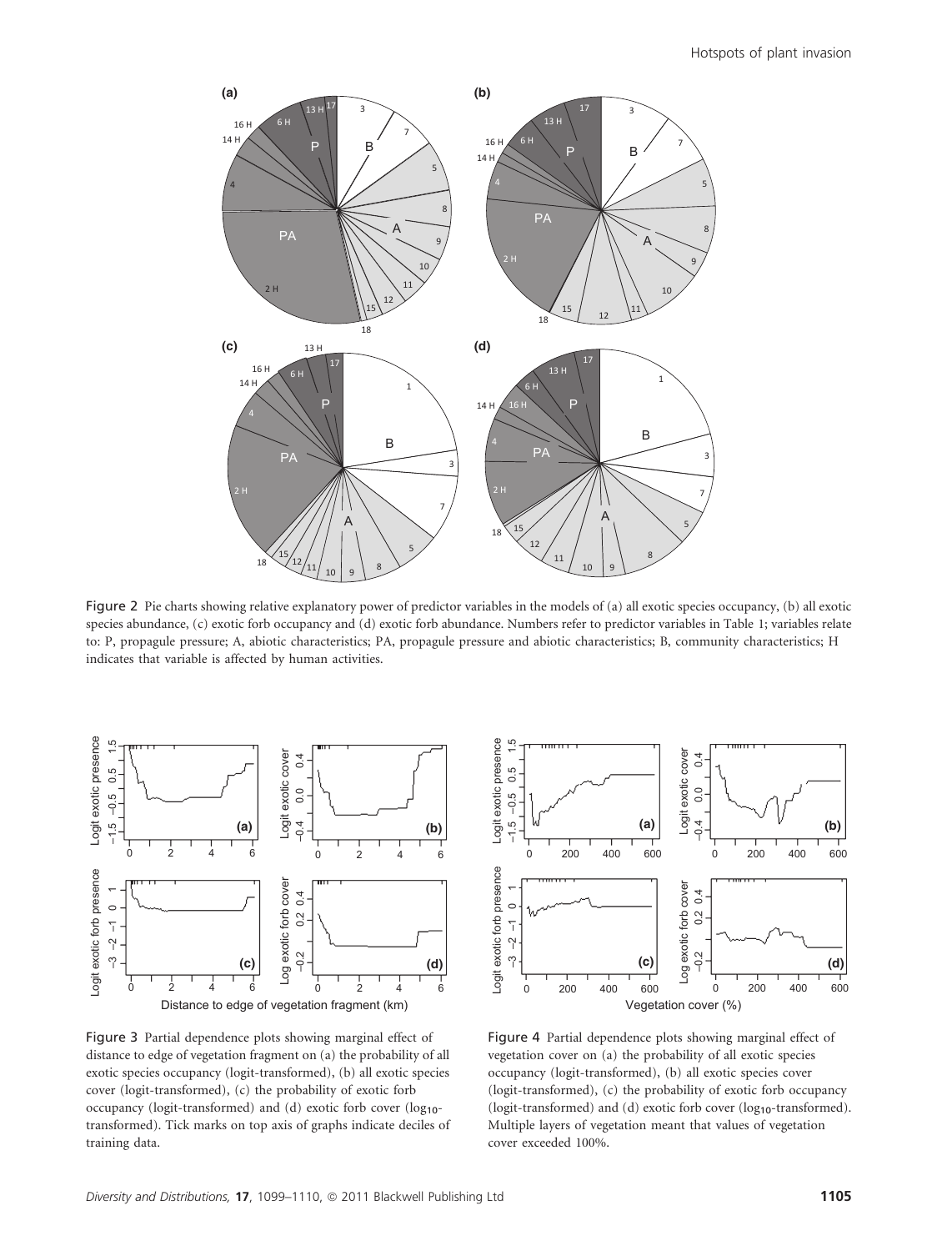

Figure 2 Pie charts showing relative explanatory power of predictor variables in the models of (a) all exotic species occupancy, (b) all exotic species abundance, (c) exotic forb occupancy and (d) exotic forb abundance. Numbers refer to predictor variables in Table 1; variables relate to: P, propagule pressure; A, abiotic characteristics; PA, propagule pressure and abiotic characteristics; B, community characteristics; H indicates that variable is affected by human activities.



Figure 3 Partial dependence plots showing marginal effect of distance to edge of vegetation fragment on (a) the probability of all exotic species occupancy (logit-transformed), (b) all exotic species cover (logit-transformed), (c) the probability of exotic forb occupancy (logit-transformed) and (d) exotic forb cover  $(log_{10}$ transformed). Tick marks on top axis of graphs indicate deciles of training data.



Figure 4 Partial dependence plots showing marginal effect of vegetation cover on (a) the probability of all exotic species occupancy (logit-transformed), (b) all exotic species cover (logit-transformed), (c) the probability of exotic forb occupancy (logit-transformed) and (d) exotic forb cover (log<sub>10</sub>-transformed). Multiple layers of vegetation meant that values of vegetation cover exceeded 100%.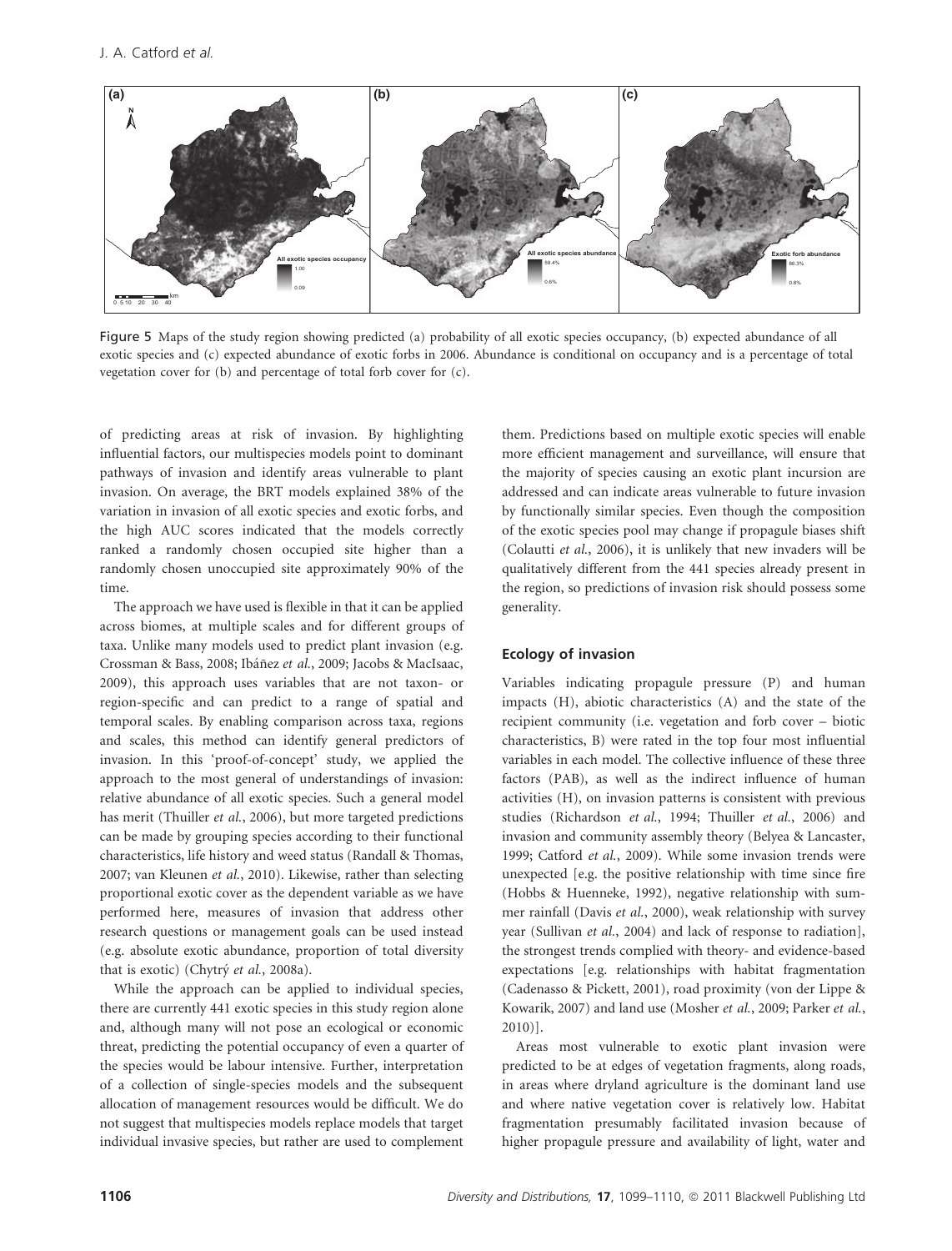

Figure 5 Maps of the study region showing predicted (a) probability of all exotic species occupancy, (b) expected abundance of all exotic species and (c) expected abundance of exotic forbs in 2006. Abundance is conditional on occupancy and is a percentage of total vegetation cover for (b) and percentage of total forb cover for (c).

of predicting areas at risk of invasion. By highlighting influential factors, our multispecies models point to dominant pathways of invasion and identify areas vulnerable to plant invasion. On average, the BRT models explained 38% of the variation in invasion of all exotic species and exotic forbs, and the high AUC scores indicated that the models correctly ranked a randomly chosen occupied site higher than a randomly chosen unoccupied site approximately 90% of the time.

The approach we have used is flexible in that it can be applied across biomes, at multiple scales and for different groups of taxa. Unlike many models used to predict plant invasion (e.g. Crossman & Bass, 2008; Ibáñez et al., 2009; Jacobs & MacIsaac, 2009), this approach uses variables that are not taxon- or region-specific and can predict to a range of spatial and temporal scales. By enabling comparison across taxa, regions and scales, this method can identify general predictors of invasion. In this 'proof-of-concept' study, we applied the approach to the most general of understandings of invasion: relative abundance of all exotic species. Such a general model has merit (Thuiller et al., 2006), but more targeted predictions can be made by grouping species according to their functional characteristics, life history and weed status (Randall & Thomas, 2007; van Kleunen et al., 2010). Likewise, rather than selecting proportional exotic cover as the dependent variable as we have performed here, measures of invasion that address other research questions or management goals can be used instead (e.g. absolute exotic abundance, proportion of total diversity that is exotic) (Chytrý et al., 2008a).

While the approach can be applied to individual species, there are currently 441 exotic species in this study region alone and, although many will not pose an ecological or economic threat, predicting the potential occupancy of even a quarter of the species would be labour intensive. Further, interpretation of a collection of single-species models and the subsequent allocation of management resources would be difficult. We do not suggest that multispecies models replace models that target individual invasive species, but rather are used to complement them. Predictions based on multiple exotic species will enable more efficient management and surveillance, will ensure that the majority of species causing an exotic plant incursion are addressed and can indicate areas vulnerable to future invasion by functionally similar species. Even though the composition of the exotic species pool may change if propagule biases shift (Colautti et al., 2006), it is unlikely that new invaders will be qualitatively different from the 441 species already present in the region, so predictions of invasion risk should possess some generality.

# Ecology of invasion

Variables indicating propagule pressure (P) and human impacts (H), abiotic characteristics (A) and the state of the recipient community (i.e. vegetation and forb cover – biotic characteristics, B) were rated in the top four most influential variables in each model. The collective influence of these three factors (PAB), as well as the indirect influence of human activities (H), on invasion patterns is consistent with previous studies (Richardson et al., 1994; Thuiller et al., 2006) and invasion and community assembly theory (Belyea & Lancaster, 1999; Catford et al., 2009). While some invasion trends were unexpected [e.g. the positive relationship with time since fire (Hobbs & Huenneke, 1992), negative relationship with summer rainfall (Davis et al., 2000), weak relationship with survey year (Sullivan et al., 2004) and lack of response to radiation], the strongest trends complied with theory- and evidence-based expectations [e.g. relationships with habitat fragmentation (Cadenasso & Pickett, 2001), road proximity (von der Lippe & Kowarik, 2007) and land use (Mosher et al., 2009; Parker et al., 2010)].

Areas most vulnerable to exotic plant invasion were predicted to be at edges of vegetation fragments, along roads, in areas where dryland agriculture is the dominant land use and where native vegetation cover is relatively low. Habitat fragmentation presumably facilitated invasion because of higher propagule pressure and availability of light, water and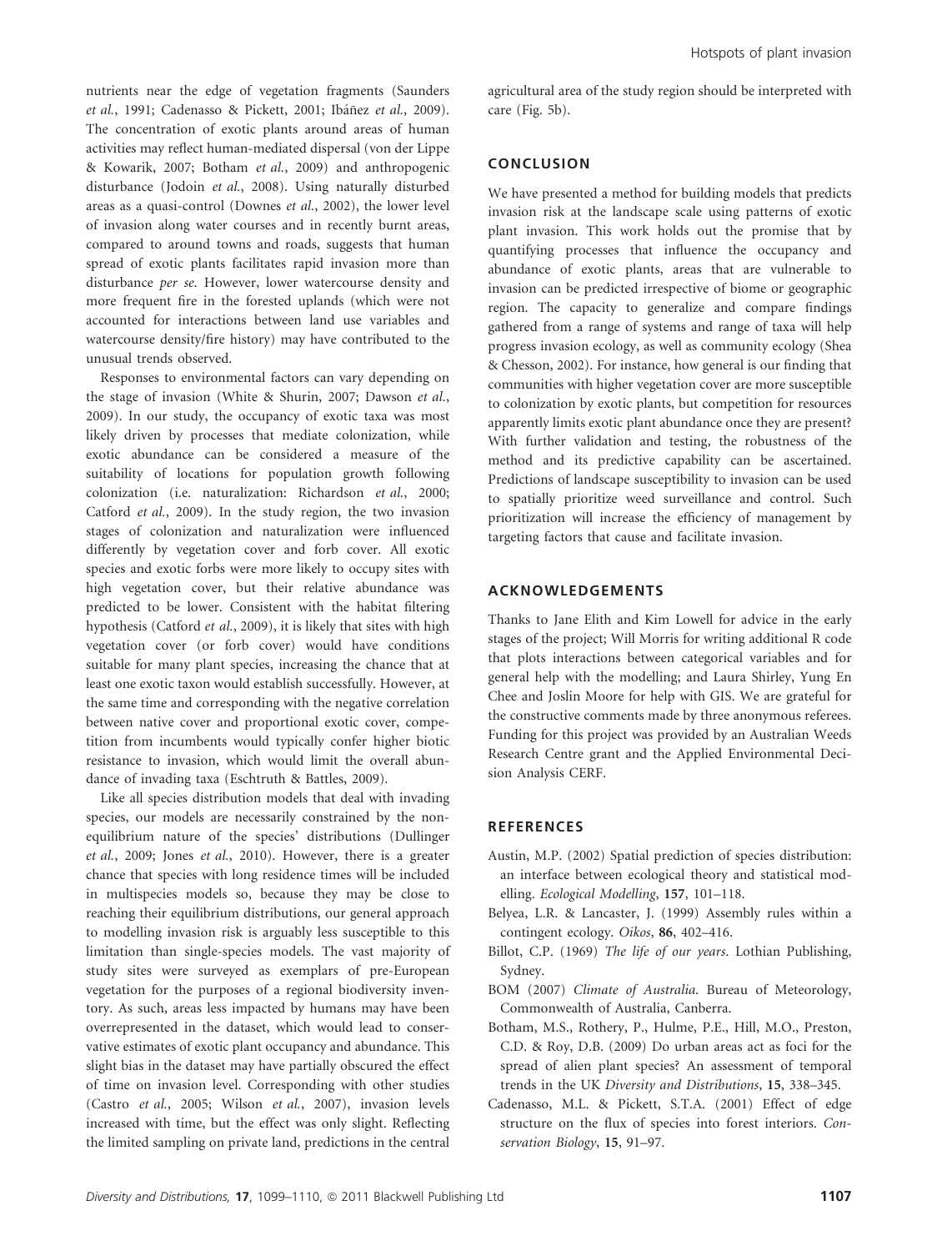nutrients near the edge of vegetation fragments (Saunders et al., 1991; Cadenasso & Pickett, 2001; Ibáñez et al., 2009). The concentration of exotic plants around areas of human activities may reflect human-mediated dispersal (von der Lippe & Kowarik, 2007; Botham et al., 2009) and anthropogenic disturbance (Jodoin et al., 2008). Using naturally disturbed areas as a quasi-control (Downes et al., 2002), the lower level of invasion along water courses and in recently burnt areas, compared to around towns and roads, suggests that human spread of exotic plants facilitates rapid invasion more than disturbance per se. However, lower watercourse density and more frequent fire in the forested uplands (which were not accounted for interactions between land use variables and watercourse density/fire history) may have contributed to the unusual trends observed.

Responses to environmental factors can vary depending on the stage of invasion (White & Shurin, 2007; Dawson et al., 2009). In our study, the occupancy of exotic taxa was most likely driven by processes that mediate colonization, while exotic abundance can be considered a measure of the suitability of locations for population growth following colonization (i.e. naturalization: Richardson et al., 2000; Catford et al., 2009). In the study region, the two invasion stages of colonization and naturalization were influenced differently by vegetation cover and forb cover. All exotic species and exotic forbs were more likely to occupy sites with high vegetation cover, but their relative abundance was predicted to be lower. Consistent with the habitat filtering hypothesis (Catford et al., 2009), it is likely that sites with high vegetation cover (or forb cover) would have conditions suitable for many plant species, increasing the chance that at least one exotic taxon would establish successfully. However, at the same time and corresponding with the negative correlation between native cover and proportional exotic cover, competition from incumbents would typically confer higher biotic resistance to invasion, which would limit the overall abundance of invading taxa (Eschtruth & Battles, 2009).

Like all species distribution models that deal with invading species, our models are necessarily constrained by the nonequilibrium nature of the species' distributions (Dullinger et al., 2009; Jones et al., 2010). However, there is a greater chance that species with long residence times will be included in multispecies models so, because they may be close to reaching their equilibrium distributions, our general approach to modelling invasion risk is arguably less susceptible to this limitation than single-species models. The vast majority of study sites were surveyed as exemplars of pre-European vegetation for the purposes of a regional biodiversity inventory. As such, areas less impacted by humans may have been overrepresented in the dataset, which would lead to conservative estimates of exotic plant occupancy and abundance. This slight bias in the dataset may have partially obscured the effect of time on invasion level. Corresponding with other studies (Castro et al., 2005; Wilson et al., 2007), invasion levels increased with time, but the effect was only slight. Reflecting the limited sampling on private land, predictions in the central

agricultural area of the study region should be interpreted with care (Fig. 5b).

# **CONCLUSION**

We have presented a method for building models that predicts invasion risk at the landscape scale using patterns of exotic plant invasion. This work holds out the promise that by quantifying processes that influence the occupancy and abundance of exotic plants, areas that are vulnerable to invasion can be predicted irrespective of biome or geographic region. The capacity to generalize and compare findings gathered from a range of systems and range of taxa will help progress invasion ecology, as well as community ecology (Shea & Chesson, 2002). For instance, how general is our finding that communities with higher vegetation cover are more susceptible to colonization by exotic plants, but competition for resources apparently limits exotic plant abundance once they are present? With further validation and testing, the robustness of the method and its predictive capability can be ascertained. Predictions of landscape susceptibility to invasion can be used to spatially prioritize weed surveillance and control. Such prioritization will increase the efficiency of management by targeting factors that cause and facilitate invasion.

# ACKNOWLEDGEMENTS

Thanks to Jane Elith and Kim Lowell for advice in the early stages of the project; Will Morris for writing additional R code that plots interactions between categorical variables and for general help with the modelling; and Laura Shirley, Yung En Chee and Joslin Moore for help with GIS. We are grateful for the constructive comments made by three anonymous referees. Funding for this project was provided by an Australian Weeds Research Centre grant and the Applied Environmental Decision Analysis CERF.

#### **REFERENCES**

- Austin, M.P. (2002) Spatial prediction of species distribution: an interface between ecological theory and statistical modelling. Ecological Modelling, 157, 101–118.
- Belyea, L.R. & Lancaster, J. (1999) Assembly rules within a contingent ecology. Oikos, 86, 402–416.
- Billot, C.P. (1969) The life of our years. Lothian Publishing, Sydney.
- BOM (2007) Climate of Australia. Bureau of Meteorology, Commonwealth of Australia, Canberra.
- Botham, M.S., Rothery, P., Hulme, P.E., Hill, M.O., Preston, C.D. & Roy, D.B. (2009) Do urban areas act as foci for the spread of alien plant species? An assessment of temporal trends in the UK Diversity and Distributions, 15, 338–345.
- Cadenasso, M.L. & Pickett, S.T.A. (2001) Effect of edge structure on the flux of species into forest interiors. Conservation Biology, 15, 91–97.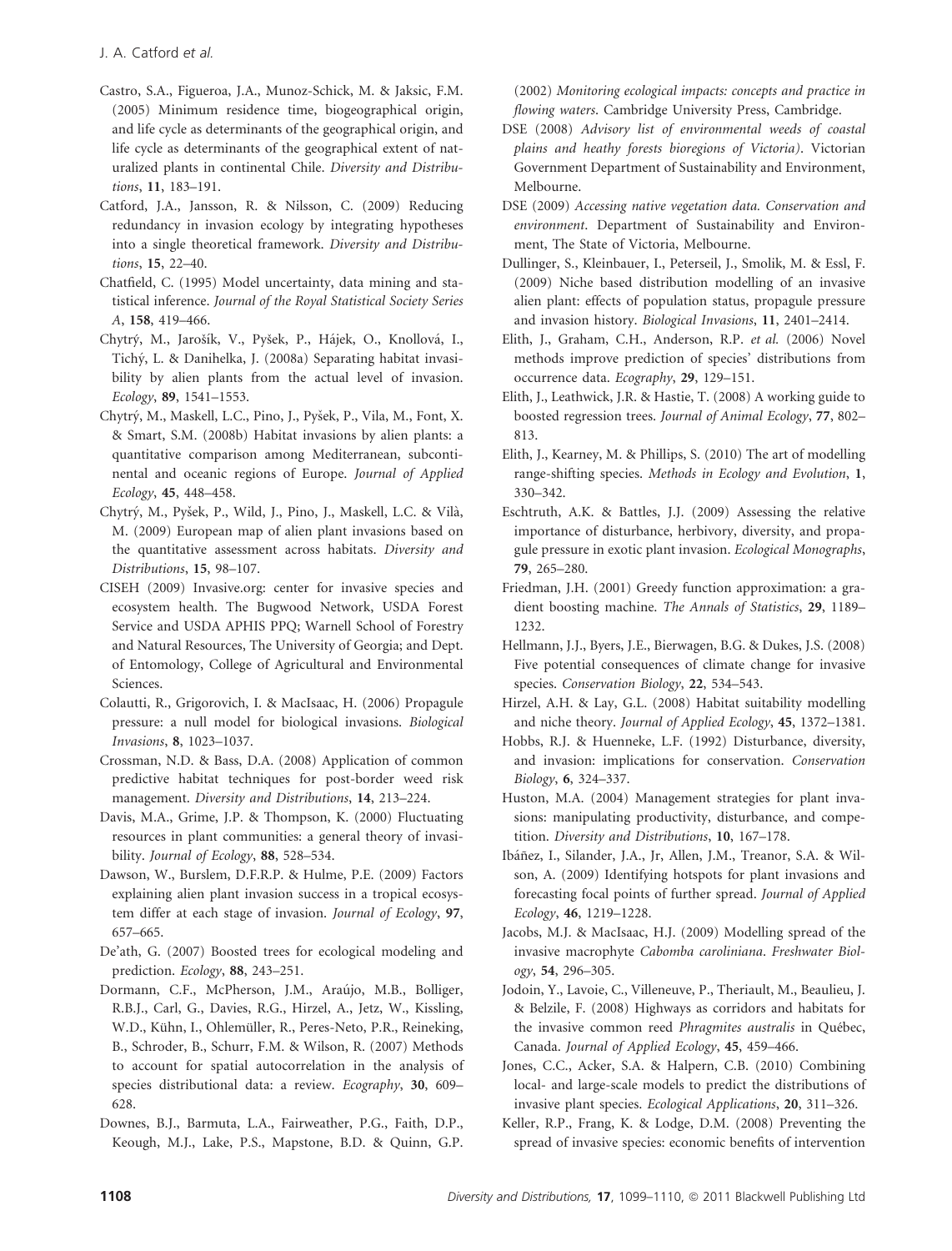- Castro, S.A., Figueroa, J.A., Munoz-Schick, M. & Jaksic, F.M. (2005) Minimum residence time, biogeographical origin, and life cycle as determinants of the geographical origin, and life cycle as determinants of the geographical extent of naturalized plants in continental Chile. Diversity and Distributions, 11, 183–191.
- Catford, J.A., Jansson, R. & Nilsson, C. (2009) Reducing redundancy in invasion ecology by integrating hypotheses into a single theoretical framework. Diversity and Distributions, 15, 22–40.
- Chatfield, C. (1995) Model uncertainty, data mining and statistical inference. Journal of the Royal Statistical Society Series A, 158, 419–466.
- Chytrý, M., Jarošík, V., Pyšek, P., Hájek, O., Knollová, I., Tichy´, L. & Danihelka, J. (2008a) Separating habitat invasibility by alien plants from the actual level of invasion. Ecology, 89, 1541–1553.
- Chytrý, M., Maskell, L.C., Pino, J., Pyšek, P., Vila, M., Font, X. & Smart, S.M. (2008b) Habitat invasions by alien plants: a quantitative comparison among Mediterranean, subcontinental and oceanic regions of Europe. Journal of Applied Ecology, 45, 448–458.
- Chytrý, M., Pyšek, P., Wild, J., Pino, J., Maskell, L.C. & Vilà, M. (2009) European map of alien plant invasions based on the quantitative assessment across habitats. Diversity and Distributions, 15, 98–107.
- CISEH (2009) Invasive.org: center for invasive species and ecosystem health. The Bugwood Network, USDA Forest Service and USDA APHIS PPQ; Warnell School of Forestry and Natural Resources, The University of Georgia; and Dept. of Entomology, College of Agricultural and Environmental Sciences.
- Colautti, R., Grigorovich, I. & MacIsaac, H. (2006) Propagule pressure: a null model for biological invasions. Biological Invasions, 8, 1023–1037.
- Crossman, N.D. & Bass, D.A. (2008) Application of common predictive habitat techniques for post-border weed risk management. Diversity and Distributions, 14, 213–224.
- Davis, M.A., Grime, J.P. & Thompson, K. (2000) Fluctuating resources in plant communities: a general theory of invasibility. Journal of Ecology, 88, 528–534.
- Dawson, W., Burslem, D.F.R.P. & Hulme, P.E. (2009) Factors explaining alien plant invasion success in a tropical ecosystem differ at each stage of invasion. Journal of Ecology, 97, 657–665.
- De'ath, G. (2007) Boosted trees for ecological modeling and prediction. Ecology, 88, 243–251.
- Dormann, C.F., McPherson, J.M., Araújo, M.B., Bolliger, R.B.J., Carl, G., Davies, R.G., Hirzel, A., Jetz, W., Kissling, W.D., Kühn, I., Ohlemüller, R., Peres-Neto, P.R., Reineking, B., Schroder, B., Schurr, F.M. & Wilson, R. (2007) Methods to account for spatial autocorrelation in the analysis of species distributional data: a review. Ecography, 30, 609– 628.
- Downes, B.J., Barmuta, L.A., Fairweather, P.G., Faith, D.P., Keough, M.J., Lake, P.S., Mapstone, B.D. & Quinn, G.P.

(2002) Monitoring ecological impacts: concepts and practice in flowing waters. Cambridge University Press, Cambridge.

- DSE (2008) Advisory list of environmental weeds of coastal plains and heathy forests bioregions of Victoria). Victorian Government Department of Sustainability and Environment, Melbourne.
- DSE (2009) Accessing native vegetation data. Conservation and environment. Department of Sustainability and Environment, The State of Victoria, Melbourne.
- Dullinger, S., Kleinbauer, I., Peterseil, J., Smolik, M. & Essl, F. (2009) Niche based distribution modelling of an invasive alien plant: effects of population status, propagule pressure and invasion history. Biological Invasions, 11, 2401–2414.
- Elith, J., Graham, C.H., Anderson, R.P. et al. (2006) Novel methods improve prediction of species' distributions from occurrence data. Ecography, 29, 129–151.
- Elith, J., Leathwick, J.R. & Hastie, T. (2008) A working guide to boosted regression trees. Journal of Animal Ecology, 77, 802– 813.
- Elith, J., Kearney, M. & Phillips, S. (2010) The art of modelling range-shifting species. Methods in Ecology and Evolution, 1, 330–342.
- Eschtruth, A.K. & Battles, J.J. (2009) Assessing the relative importance of disturbance, herbivory, diversity, and propagule pressure in exotic plant invasion. Ecological Monographs, 79, 265–280.
- Friedman, J.H. (2001) Greedy function approximation: a gradient boosting machine. The Annals of Statistics, 29, 1189– 1232.
- Hellmann, J.J., Byers, J.E., Bierwagen, B.G. & Dukes, J.S. (2008) Five potential consequences of climate change for invasive species. Conservation Biology, 22, 534–543.
- Hirzel, A.H. & Lay, G.L. (2008) Habitat suitability modelling and niche theory. Journal of Applied Ecology, 45, 1372–1381.
- Hobbs, R.J. & Huenneke, L.F. (1992) Disturbance, diversity, and invasion: implications for conservation. Conservation Biology, 6, 324–337.
- Huston, M.A. (2004) Management strategies for plant invasions: manipulating productivity, disturbance, and competition. Diversity and Distributions, 10, 167–178.
- Ibáñez, I., Silander, J.A., Jr, Allen, J.M., Treanor, S.A. & Wilson, A. (2009) Identifying hotspots for plant invasions and forecasting focal points of further spread. Journal of Applied Ecology, 46, 1219–1228.
- Jacobs, M.J. & MacIsaac, H.J. (2009) Modelling spread of the invasive macrophyte Cabomba caroliniana. Freshwater Biology, 54, 296–305.
- Jodoin, Y., Lavoie, C., Villeneuve, P., Theriault, M., Beaulieu, J. & Belzile, F. (2008) Highways as corridors and habitats for the invasive common reed Phragmites australis in Québec, Canada. Journal of Applied Ecology, 45, 459–466.
- Jones, C.C., Acker, S.A. & Halpern, C.B. (2010) Combining local- and large-scale models to predict the distributions of invasive plant species. Ecological Applications, 20, 311–326.
- Keller, R.P., Frang, K. & Lodge, D.M. (2008) Preventing the spread of invasive species: economic benefits of intervention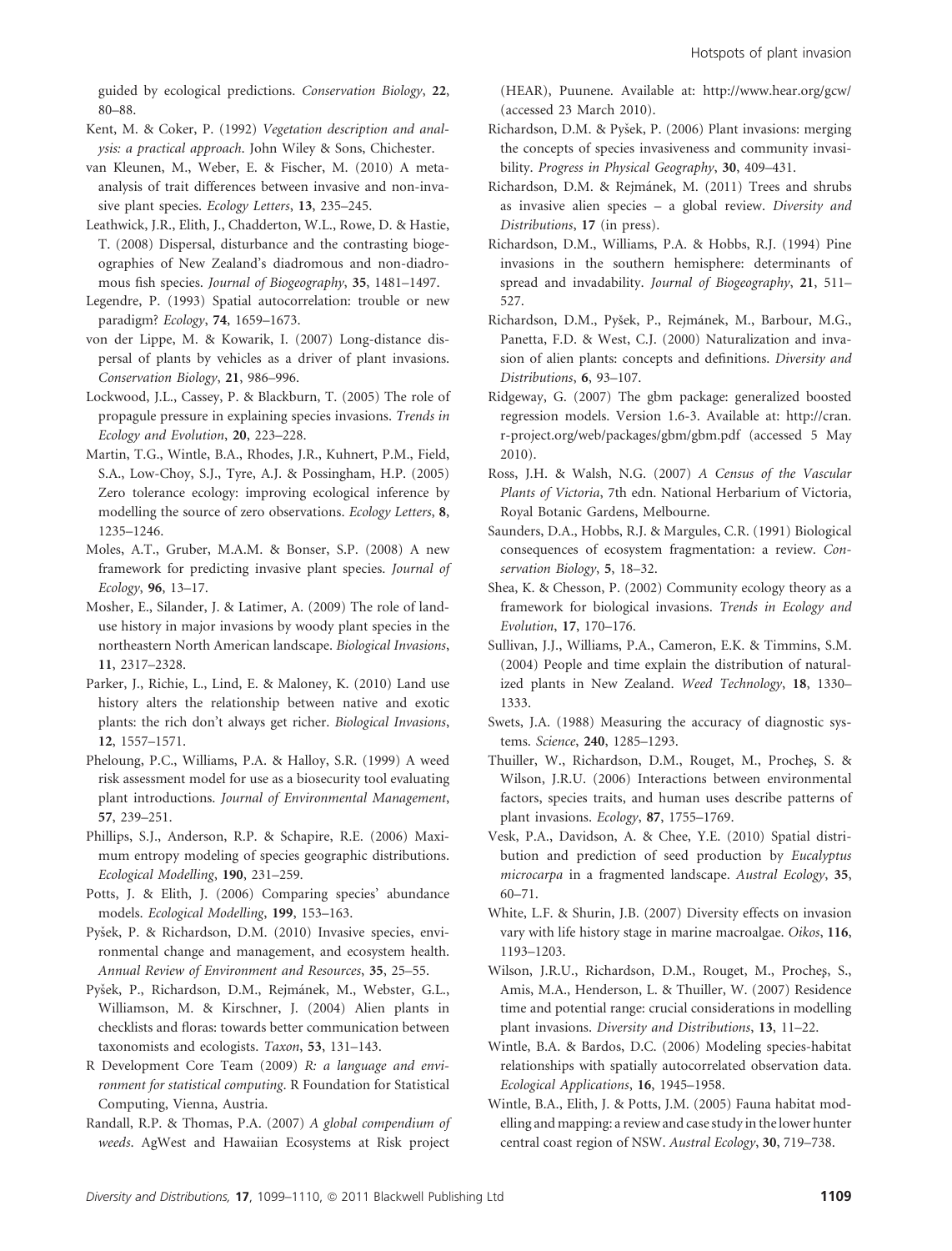guided by ecological predictions. Conservation Biology, 22, 80–88.

Kent, M. & Coker, P. (1992) Vegetation description and analysis: a practical approach. John Wiley & Sons, Chichester.

van Kleunen, M., Weber, E. & Fischer, M. (2010) A metaanalysis of trait differences between invasive and non-invasive plant species. Ecology Letters, 13, 235–245.

Leathwick, J.R., Elith, J., Chadderton, W.L., Rowe, D. & Hastie, T. (2008) Dispersal, disturbance and the contrasting biogeographies of New Zealand's diadromous and non-diadromous fish species. Journal of Biogeography, 35, 1481–1497.

Legendre, P. (1993) Spatial autocorrelation: trouble or new paradigm? Ecology, 74, 1659–1673.

von der Lippe, M. & Kowarik, I. (2007) Long-distance dispersal of plants by vehicles as a driver of plant invasions. Conservation Biology, 21, 986–996.

Lockwood, J.L., Cassey, P. & Blackburn, T. (2005) The role of propagule pressure in explaining species invasions. Trends in Ecology and Evolution, 20, 223–228.

Martin, T.G., Wintle, B.A., Rhodes, J.R., Kuhnert, P.M., Field, S.A., Low-Choy, S.J., Tyre, A.J. & Possingham, H.P. (2005) Zero tolerance ecology: improving ecological inference by modelling the source of zero observations. Ecology Letters, 8, 1235–1246.

Moles, A.T., Gruber, M.A.M. & Bonser, S.P. (2008) A new framework for predicting invasive plant species. Journal of Ecology, 96, 13–17.

Mosher, E., Silander, J. & Latimer, A. (2009) The role of landuse history in major invasions by woody plant species in the northeastern North American landscape. Biological Invasions, 11, 2317–2328.

Parker, J., Richie, L., Lind, E. & Maloney, K. (2010) Land use history alters the relationship between native and exotic plants: the rich don't always get richer. Biological Invasions, 12, 1557–1571.

Pheloung, P.C., Williams, P.A. & Halloy, S.R. (1999) A weed risk assessment model for use as a biosecurity tool evaluating plant introductions. Journal of Environmental Management, 57, 239–251.

Phillips, S.J., Anderson, R.P. & Schapire, R.E. (2006) Maximum entropy modeling of species geographic distributions. Ecological Modelling, 190, 231–259.

Potts, J. & Elith, J. (2006) Comparing species' abundance models. Ecological Modelling, 199, 153–163.

Pyšek, P. & Richardson, D.M. (2010) Invasive species, environmental change and management, and ecosystem health. Annual Review of Environment and Resources, 35, 25–55.

Pyšek, P., Richardson, D.M., Rejmánek, M., Webster, G.L., Williamson, M. & Kirschner, J. (2004) Alien plants in checklists and floras: towards better communication between taxonomists and ecologists. Taxon, 53, 131–143.

R Development Core Team (2009) R: a language and environment for statistical computing. R Foundation for Statistical Computing, Vienna, Austria.

Randall, R.P. & Thomas, P.A. (2007) A global compendium of weeds. AgWest and Hawaiian Ecosystems at Risk project

(HEAR), Puunene. Available at: http://www.hear.org/gcw/ (accessed 23 March 2010).

Richardson, D.M. & Pyšek, P. (2006) Plant invasions: merging the concepts of species invasiveness and community invasibility. Progress in Physical Geography, 30, 409–431.

Richardson, D.M. & Rejmánek, M. (2011) Trees and shrubs as invasive alien species – a global review. Diversity and Distributions, 17 (in press).

Richardson, D.M., Williams, P.A. & Hobbs, R.J. (1994) Pine invasions in the southern hemisphere: determinants of spread and invadability. Journal of Biogeography, 21, 511-527.

Richardson, D.M., Pyšek, P., Rejmánek, M., Barbour, M.G., Panetta, F.D. & West, C.J. (2000) Naturalization and invasion of alien plants: concepts and definitions. Diversity and Distributions, 6, 93–107.

Ridgeway, G. (2007) The gbm package: generalized boosted regression models. Version 1.6-3. Available at: http://cran. r-project.org/web/packages/gbm/gbm.pdf (accessed 5 May 2010).

Ross, J.H. & Walsh, N.G. (2007) A Census of the Vascular Plants of Victoria, 7th edn. National Herbarium of Victoria, Royal Botanic Gardens, Melbourne.

Saunders, D.A., Hobbs, R.J. & Margules, C.R. (1991) Biological consequences of ecosystem fragmentation: a review. Conservation Biology, 5, 18–32.

Shea, K. & Chesson, P. (2002) Community ecology theory as a framework for biological invasions. Trends in Ecology and Evolution, 17, 170–176.

Sullivan, J.J., Williams, P.A., Cameron, E.K. & Timmins, S.M. (2004) People and time explain the distribution of naturalized plants in New Zealand. Weed Technology, 18, 1330– 1333.

Swets, J.A. (1988) Measuring the accuracy of diagnostic systems. Science, 240, 1285–1293.

Thuiller, W., Richardson, D.M., Rouget, M., Proches, S. & Wilson, J.R.U. (2006) Interactions between environmental factors, species traits, and human uses describe patterns of plant invasions. Ecology, 87, 1755–1769.

Vesk, P.A., Davidson, A. & Chee, Y.E. (2010) Spatial distribution and prediction of seed production by Eucalyptus microcarpa in a fragmented landscape. Austral Ecology, 35, 60–71.

White, L.F. & Shurin, J.B. (2007) Diversity effects on invasion vary with life history stage in marine macroalgae. Oikos, 116, 1193–1203.

Wilson, J.R.U., Richardson, D.M., Rouget, M., Proches, S., Amis, M.A., Henderson, L. & Thuiller, W. (2007) Residence time and potential range: crucial considerations in modelling plant invasions. Diversity and Distributions, 13, 11–22.

Wintle, B.A. & Bardos, D.C. (2006) Modeling species-habitat relationships with spatially autocorrelated observation data. Ecological Applications, 16, 1945–1958.

Wintle, B.A., Elith, J. & Potts, J.M. (2005) Fauna habitat modelling and mapping: a review and case study in the lower hunter central coast region of NSW. Austral Ecology, 30, 719–738.